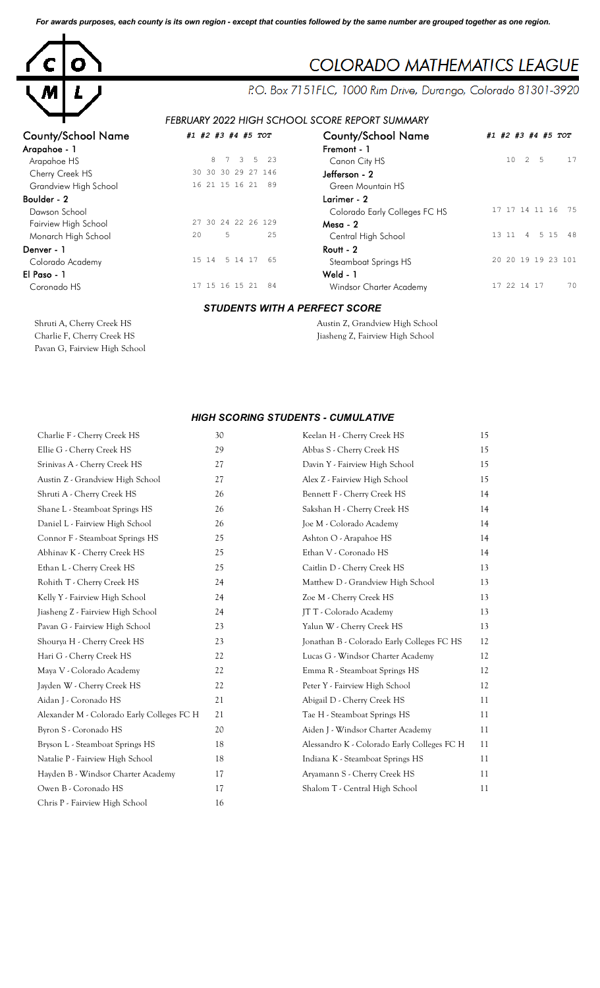*For awards purposes, each county is its own region - except that counties followed by the same number are grouped together as one region.*



## COLORADO MATHEMATICS LEAGUE

P.O. Box 7151FLC, 1000 Rim Drive, Durango, Colorado 81301-3920

## *FEBRUARY 2022 HIGH SCHOOL SCORE REPORT SUMMARY*

| <b>County/School Name</b> | #1 #2 #3 #4 #5 TOT                               | <b>County/School Name</b>       | #1 #2 #3 #4 #5 TOT                 |
|---------------------------|--------------------------------------------------|---------------------------------|------------------------------------|
| Arapahoe - 1              |                                                  | Fremont - 1                     |                                    |
| Arapahoe HS               | 8<br>$\overline{3}$<br>5 <sup>5</sup><br>23<br>7 | Canon City HS                   | 2<br>10<br>5<br>17                 |
| Cherry Creek HS           | 30 30 30 29 27 146                               | Jefferson - 2                   |                                    |
| Grandview High School     | 16 21 15 16 21<br>89                             | Green Mountain HS               |                                    |
| Boulder - 2               |                                                  | Larimer - 2                     |                                    |
| Dawson School             |                                                  | Colorado Early Colleges FC HS   | 17 17 14 11 16 75                  |
| Fairview High School      | 27 30 24 22 26 129                               | $Mesa - 2$                      |                                    |
| Monarch High School       | 5<br>2.5<br>20                                   | Central High School             | 5 15 48<br>13 11<br>$\overline{4}$ |
| Denver - 1                |                                                  | $R$ outt - 2                    |                                    |
| Colorado Academy          | 5 14 17<br>15 14<br>65                           | Steamboat Springs HS            | 20 20 19 19 23 101                 |
| El Paso - 1               |                                                  | Weld - $1$                      |                                    |
| Coronado HS               | 17 15 16 15 21<br>84                             | Windsor Charter Academy         | 17 22 14 17<br>70                  |
|                           | <b>STUDENTS WITH A PERFECT SCORE</b>             |                                 |                                    |
| Shruti A, Cherry Creek HS |                                                  | Austin Z, Grandview High School |                                    |

Charlie F, Cherry Creek HS Jiasheng Z, Fairview High School Pavan G, Fairview High School

## *HIGH SCORING STUDENTS - CUMULATIVE*

| Charlie F - Cherry Creek HS                | 30 | Keelan H - Cherry Creek HS                  | 15 |
|--------------------------------------------|----|---------------------------------------------|----|
| Ellie G - Cherry Creek HS                  | 29 | Abbas S - Cherry Creek HS                   | 15 |
| Srinivas A - Cherry Creek HS               | 27 | Davin Y - Fairview High School              | 15 |
| Austin Z - Grandview High School           | 27 | Alex Z - Fairview High School               | 15 |
| Shruti A - Cherry Creek HS                 | 26 | Bennett F - Cherry Creek HS                 | 14 |
| Shane L - Steamboat Springs HS             | 26 | Sakshan H - Cherry Creek HS                 | 14 |
| Daniel L - Fairview High School            | 26 | Joe M - Colorado Academy                    | 14 |
| Connor F - Steamboat Springs HS            | 25 | Ashton O - Arapahoe HS                      | 14 |
| Abhinav K - Cherry Creek HS                | 25 | Ethan V - Coronado HS                       | 14 |
| Ethan L - Cherry Creek HS                  | 25 | Caitlin D - Cherry Creek HS                 | 13 |
| Rohith T - Cherry Creek HS                 | 24 | Matthew D - Grandview High School           | 13 |
| Kelly Y - Fairview High School             | 24 | Zoe M - Cherry Creek HS                     | 13 |
| Jiasheng Z - Fairview High School          | 24 | JT T - Colorado Academy                     | 13 |
| Pavan G - Fairview High School             | 23 | Yalun W - Cherry Creek HS                   | 13 |
| Shourya H - Cherry Creek HS                | 23 | Jonathan B - Colorado Early Colleges FC HS  | 12 |
| Hari G - Cherry Creek HS                   | 22 | Lucas G - Windsor Charter Academy           | 12 |
| Maya V - Colorado Academy                  | 22 | Emma R - Steamboat Springs HS               | 12 |
| Jayden W - Cherry Creek HS                 | 22 | Peter Y - Fairview High School              | 12 |
| Aidan J - Coronado HS                      | 21 | Abigail D - Cherry Creek HS                 | 11 |
| Alexander M - Colorado Early Colleges FC H | 21 | Tae H - Steamboat Springs HS                | 11 |
| Byron S - Coronado HS                      | 20 | Aiden J - Windsor Charter Academy           | 11 |
| Bryson L - Steamboat Springs HS            | 18 | Alessandro K - Colorado Early Colleges FC H | 11 |
| Natalie P - Fairview High School           | 18 | Indiana K - Steamboat Springs HS            | 11 |
| Hayden B - Windsor Charter Academy         | 17 | Aryamann S - Cherry Creek HS                | 11 |
| Owen B - Coronado HS                       | 17 | Shalom T - Central High School              | 11 |
| Chris P - Fairview High School             | 16 |                                             |    |